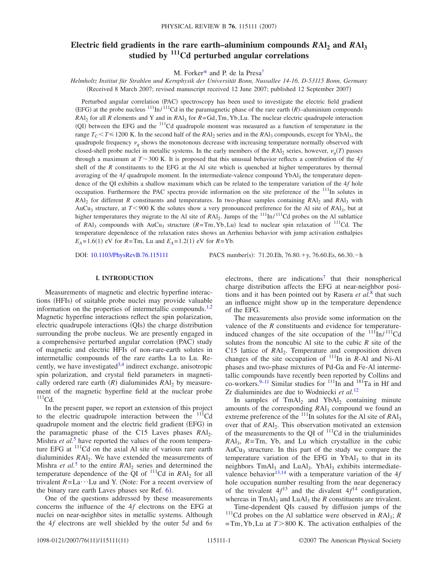# **Electric field gradients in the rare earth–aluminium compounds**  $RAI_2$  **and**  $RAI_3$ **studied by 111Cd perturbed angular correlations**

M. Forke[r\\*](#page-9-0) and P. de la Pres[a†](#page-9-1)

*Helmholtz Institut für Strahlen und Kernphysik der Universität Bonn, Nussallee 14-16, D-53115 Bonn, Germany* (Received 8 March 2007; revised manuscript received 12 June 2007; published 12 September 2007)

Perturbed angular correlation (PAC) spectroscopy has been used to investigate the electric field gradient (EFG) at the probe nucleus  $\frac{111}{In}$ / $\frac{111}{Cd}$  in the paramagnetic phase of the rare earth *(R)*-aluminium compounds *R*Al2 for all *R* elements and Y and in *R*Al3 for *R*=Gd,Tm,Yb,Lu. The nuclear electric quadrupole interaction (QI) between the EFG and the <sup>111</sup>Cd quadrupole moment was measured as a function of temperature in the range  $T_C \leq T \leq 1200$  K. In the second half of the  $RAI_2$  series and in the  $RAI_3$  compounds, except for YbAl<sub>3</sub>, the quadrupole frequency  $v_a$  shows the monotonous decrease with increasing temperature normally observed with closed-shell probe nuclei in metallic systems. In the early members of the  $RAI_2$  series, however,  $v_q(T)$  passes through a maximum at  $T \sim 300$  K. It is proposed that this unusual behavior reflects a contribution of the 4*f* shell of the *R* constituents to the EFG at the Al site which is quenched at higher temperatures by thermal averaging of the  $4f$  quadrupole moment. In the intermediate-valence compound YbAl<sub>3</sub> the temperature dependence of the QI exhibits a shallow maximum which can be related to the temperature variation of the 4*f* hole occupation. Furthermore the PAC spectra provide information on the site preference of the  $111$ In solutes in *R*Al<sub>2</sub> for different *R* constituents and temperatures. In two-phase samples containing *RA*l<sub>2</sub> and *RA*l<sub>3</sub> with AuCu<sub>3</sub> structure, at *T*<900 K the solutes show a very pronounced preference for the Al site of *RAl<sub>3</sub>*, but at higher temperatures they migrate to the Al site of *RAl*<sub>2</sub>. Jumps of the <sup>111</sup>In/<sup>111</sup>Cd probes on the Al sublattice of  $RAI_3$  compounds with  $AuCu_3$  structure  $(R=Tm,Yb, Lu)$  lead to nuclear spin relaxation of <sup>111</sup>Cd. The temperature dependence of the relaxation rates shows an Arrhenius behavior with jump activation enthalpies  $E_A = 1.6(1)$  eV for  $R = Tm$ , Lu and  $E_A = 1.2(1)$  eV for  $R = Yb$ .

DOI: [10.1103/PhysRevB.76.115111](http://dx.doi.org/10.1103/PhysRevB.76.115111)

PACS number(s): 71.20.Eh, 76.80.+y, 76.60.Es, 66.30.-h

#### **I. INTRODUCTION**

Measurements of magnetic and electric hyperfine interactions (HFIs) of suitable probe nuclei may provide valuable information on the properties of intermetallic compounds.<sup>1[,2](#page-9-3)</sup> Magnetic hyperfine interactions reflect the spin polarization, electric quadrupole interactions (QIs) the charge distribution surrounding the probe nucleus. We are presently engaged in a comprehensive perturbed angular correlation (PAC) study of magnetic and electric HFIs of non-rare-earth solutes in intermetallic compounds of the rare earths La to Lu. Recently, we have investigated  $3,4$  $3,4$  indirect exchange, anisotropic spin polarization, and crystal field parameters in magnetically ordered rare earth  $(R)$  dialuminides  $RAI_2$  by measurement of the magnetic hyperfine field at the nuclear probe  $111$ Cd.

In the present paper, we report an extension of this project to the electric quadrupole interaction between the  $\frac{111}{Cd}$ quadrupole moment and the electric field gradient (EFG) in the paramagnetic phase of the C15 Laves phases *RAl*<sub>2</sub>. Mishra *et al.*<sup>[5](#page-9-6)</sup> have reported the values of the room temperature EFG at <sup>111</sup>Cd on the axial Al site of various rare earth dialuminides *RA*l<sub>2</sub>. We have extended the measurements of Mishra *et al.*<sup>[5](#page-9-6)</sup> to the entire  $RA1$ <sub>2</sub> series and determined the temperature dependence of the  $\overline{Q}I$  of  $^{111}Cd$  in  $RAI_2$  for all trivalent  $R = La \cdots Lu$  and Y. (Note: For a recent overview of the binary rare earth Laves phases see Ref. [6](#page-9-7)).

One of the questions addressed by these measurements concerns the influence of the 4*f* electrons on the EFG at nuclei on near-neighbor sites in metallic systems. Although the 4*f* electrons are well shielded by the outer 5*d* and 6*s* electrons, there are indications<sup>7</sup> that their nonspherical charge distribution affects the EFG at near-neighbor positions and it has been pointed out by Rasera *et al.*[8](#page-9-9) that such an influence might show up in the temperature dependence of the EFG.

The measurements also provide some information on the valence of the *R* constituents and evidence for temperatureinduced changes of the site occupation of the  $111$ In/ $111$ Cd solutes from the noncubic Al site to the cubic *R* site of the C15 lattice of *RAl*<sub>2</sub>. Temperature and composition driven changes of the site occupation of  $^{111}$ In in *R*-Al and Ni-Al phases and two-phase mixtures of Pd-Ga and Fe-Al intermetallic compounds have recently been reported by Collins and co-workers.<sup>9[–11](#page-9-11)</sup> Similar studies for  $111$ In and  $181$ Ta in Hf and Zr dialuminides are due to Wodniecki *et al.*[12](#page-9-12)

In samples of  $TmAl<sub>2</sub>$  and  $YbAl<sub>2</sub>$  containing minute amounts of the corresponding  $RAI<sub>3</sub>$  compound we found an extreme preference of the  $^{111}$ In solutes for the Al site of  $RA1_3$ over that of *RAl*<sub>2</sub>. This observation motivated an extension of the measurements to the QI of  $^{111}$ Cd in the trialuminides  $RA1<sub>3</sub>$ ,  $R=Tm$ , Yb, and Lu which crystallize in the cubic AuCu<sub>3</sub> structure. In this part of the study we compare the temperature variation of the EFG in  $YbAl<sub>3</sub>$  to that in its neighbors  $TmAl<sub>3</sub>$  and LuAl<sub>3</sub>. YbAl<sub>3</sub> exhibits intermediate-valence behavior<sup>13[,14](#page-9-14)</sup> with a temperature variation of the  $4f$ hole occupation number resulting from the near degeneracy of the trivalent  $4f^{13}$  and the divalent  $4f^{14}$  configuration, whereas in  $TmAl<sub>3</sub>$  and  $LuAl<sub>3</sub>$  the *R* constituents are trivalent.

Time-dependent QIs caused by diffusion jumps of the  $111$ <sup>cd</sup> probes on the Al sublattice were observed in *RAl<sub>3</sub>*; *R*  $=$ Tm, Yb, Lu at  $T > 800$  K. The activation enthalpies of the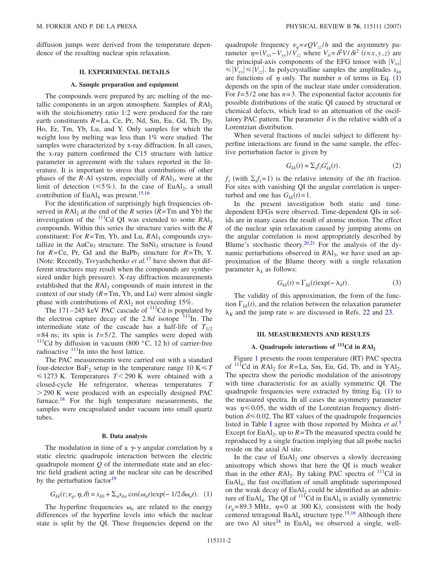diffusion jumps were derived from the temperature dependence of the resulting nuclear spin relaxation.

### **II. EXPERIMENTAL DETAILS**

#### **A. Sample preparation and equipment**

The compounds were prepared by arc melting of the metallic components in an argon atmosphere. Samples of  $RAI<sub>2</sub>$ with the stoichiometry ratio 1:2 were produced for the rare earth constituents *R*=La, Ce, Pr, Nd, Sm, Eu, Gd, Tb, Dy, Ho, Er, Tm, Yb, Lu, and Y. Only samples for which the weight loss by melting was less than 1% were studied. The samples were characterized by x-ray diffraction. In all cases, the x-ray pattern confirmed the C15 structure with lattice parameter in agreement with the values reported in the literature. It is important to stress that contributions of other phases of the *R*-Al system, especially of *RAl*<sub>3</sub>, were at the limit of detection ( $\leq 5\%$ ). In the case of EuAl<sub>2</sub>, a small contribution of  $EuAl<sub>4</sub>$  was present.<sup>15,[16](#page-9-16)</sup>

For the identification of surprisingly high frequencies observed in  $RAl_2$  at the end of the *R* series  $(R = Tm$  and Yb) the investigation of the  $^{111}$ Cd QI was extended to some  $RAI_3$ compounds. Within this series the structure varies with the *R* constituent: For  $R = Tm$ , Yb, and Lu,  $RAl<sub>3</sub>$  compounds crystallize in the  $AuCu<sub>3</sub>$  structure. The SnNi<sub>3</sub> structure is found for  $R = Ce$ , Pr, Gd and the BaPb<sub>3</sub> structure for  $R = Tb$ , Y. Note: Recently, Tsvyashchenko *et al.*[17](#page-9-17) have shown that different structures may result when the compounds are synthesized under high pressure). X-ray diffraction measurements established that the  $RAI_3$  compounds of main interest in the context of our study  $(R = Tm, Yb,$  and Lu) were almost single phase with contributions of  $RAI<sub>2</sub>$  not exceeding 15%.

The  $171-245$  keV PAC cascade of  $\frac{111}{11}$ Cd is populated by the electron capture decay of the  $2.8d$  isotope  $111$ <sub>In</sub>. The intermediate state of the cascade has a half-life of  $T_{1/2}$  $=84$  ns; its spin is  $I=5/2$ . The samples were doped with <sup>111</sup>Cd by diffusion in vacuum (800 °C, 12 h) of carrier-free radioactive  $111$ In into the host lattice.

The PAC measurements were carried out with a standard four-detector  $BaF_2$  setup in the temperature range 10  $K \le T$  $\leq$  1273 K. Temperatures *T*<290 K were obtained with a closed-cycle He refrigerator, whereas temperatures *T*  $>$  290 K were produced with an especially designed PAC furnace.<sup>18</sup> For the high temperature measurements, the samples were encapsulated under vacuum into small quartz tubes.

#### **B. Data analysis**

The modulation in time of a  $\gamma$ - $\gamma$  angular correlation by a static electric quadrupole interaction between the electric quadrupole moment *Q* of the intermediate state and an electric field gradient acting at the nuclear site can be described by the perturbation factor<sup>19</sup>

$$
G_{kk}(t; \nu_q, \eta, \delta) = s_{k0} + \sum_n s_{kn} \cos(\omega_n t) \exp(-1/2 \delta \omega_n t). \tag{1}
$$

<span id="page-1-0"></span>The hyperfine frequencies  $\omega_n$  are related to the energy differences of the hyperfine levels into which the nuclear state is split by the QI. These frequencies depend on the quadrupole frequency  $v_a = eQV_{zz}/h$  and the asymmetry parameter  $\eta = (V_{xx} - V_{yy})/V_{zz}$  where  $V_{ii} = \frac{\partial^2 V}{\partial i^2}$  (*i*=*x*, *y*, *z*) are the principal-axis components of the EFG tensor with  $|V_{xx}|$  $\leq |V_{yy}| \leq |V_{zz}|$ . In polycrystalline samples the amplitudes  $s_{kn}$ are functions of  $\eta$  only. The number *n* of terms in Eq. ([1](#page-1-0)) depends on the spin of the nuclear state under consideration. For *I*=5/2 one has *n*=3. The exponential factor accounts for possible distributions of the static QI caused by structural or chemical defects, which lead to an attenuation of the oscillatory PAC pattern. The parameter  $\delta$  is the relative width of a Lorentzian distribution.

When several fractions of nuclei subject to different hyperfine interactions are found in the same sample, the effective perturbation factor is given by

$$
G_{kk}(t) = \sum_i f_i G_{kk}^i(t).
$$
 (2)

<span id="page-1-2"></span> $f_i$  (with  $\Sigma_i f_i = 1$ ) is the relative intensity of the *i*th fraction. For sites with vanishing QI the angular correlation is unperturbed and one has  $G_{kk}(t) = 1$ .

In the present investigation both static and timedependent EFGs were observed. Time-dependent QIs in solids are in many cases the result of atomic motion. The effect of the nuclear spin relaxation caused by jumping atoms on the angular correlation is most appropriately described by Blume's stochastic theory. $20,21$  $20,21$  For the analysis of the dynamic perturbations observed in *RAl*<sub>3</sub>, we have used an approximation of the Blume theory with a single relaxation parameter  $\lambda_k$  as follows:

$$
G_{kk}(t) = \Gamma_{kk}(t) \exp(-\lambda_k t). \tag{3}
$$

<span id="page-1-1"></span>The validity of this approximation, the form of the function  $\Gamma_{kk}(t)$ , and the relation between the relaxation parameter  $\lambda_K$  and the jump rate *w* are discussed in Refs. [22](#page-9-22) and [23.](#page-9-23)

### **III. MEASUREMENTS AND RESULTS**

### A. Quadrupole interactions of  $\frac{111}{d}$ Cd in  $RAI_2$

Figure [1](#page-2-0) presents the room temperature (RT) PAC spectra of  $\frac{111}{C}$ d in *RAl*, for *R*=La, Sm, Eu, Gd, Tb, and in YAl<sub>2</sub>. The spectra show the periodic modulation of the anisotropy with time characteristic for an axially symmetric QI. The quadrupole frequencies were extracted by fitting Eq. ([1](#page-1-0)) to the measured spectra. In all cases the asymmetry parameter was  $\eta \leq 0.05$ , the width of the Lorentzian frequency distribution  $\delta \leq 0.02$ . The RT values of the quadrupole frequencies listed in Table [I](#page-2-1) agree with those reported by Mishra *et al.*[5](#page-9-6) Except for EuAl<sub>2</sub>, up to  $R = Tb$  the measured spectra could be reproduced by a single fraction implying that all probe nuclei reside on the axial Al site.

In the case of  $EuAl<sub>2</sub>$  one observes a slowly decreasing anisotropy which shows that here the QI is much weaker than in the other *RAI*<sub>2</sub>. By taking PAC spectra of <sup>111</sup>Cd in EuAl4, the fast oscillation of small amplitude superimposed on the weak decay of  $EuAl<sub>2</sub>$  could be identified as an admixture of EuAl<sub>4</sub>. The QI of  $11\bar{1}$ Cd in EuAl<sub>4</sub> is axially symmetric  $(\nu_q = 89.3 \text{ MHz}, \eta = 0 \text{ at } 300 \text{ K})$ , consistent with the body centered tetragonal BaAl<sub>4</sub> structure type.<sup>15,[16](#page-9-16)</sup> Although there are two Al sites<sup>24</sup> in EuAl<sub>4</sub> we observed a single, well-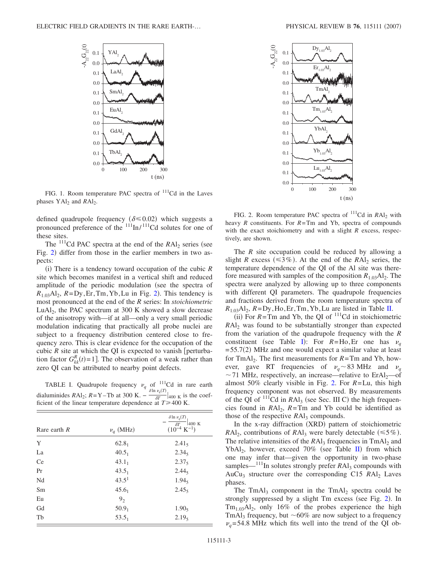<span id="page-2-0"></span>

FIG. 1. Room temperature PAC spectra of <sup>111</sup>Cd in the Laves phases  $YAl<sub>2</sub>$  and  $RAl<sub>2</sub>$ .

defined quadrupole frequency ( $\delta \leq 0.02$ ) which suggests a pronounced preference of the  $\frac{111}{\text{In}}/ \frac{111}{\text{Cd}}$  solutes for one of these sites.

The  $^{111}$ Cd PAC spectra at the end of the  $RA1<sub>2</sub>$  series (see Fig. [2](#page-2-2)) differ from those in the earlier members in two aspects:

(i) There is a tendency toward occupation of the cubic *R* site which becomes manifest in a vertical shift and reduced amplitude of the periodic modulation (see the spectra of  $R_{1.03}$ Al<sub>[2](#page-2-2)</sub>,  $R = Dy$ , Er, Tm, Yb, Lu in Fig. 2). This tendency is most pronounced at the end of the *R* series: In *stoichiometric* LuAl<sub>2</sub>, the PAC spectrum at 300 K showed a slow decrease of the anisotropy with—if at all—only a very small periodic modulation indicating that practically all probe nuclei are subject to a frequency distribution centered close to frequency zero. This is clear evidence for the occupation of the cubic  $R$  site at which the QI is expected to vanish [perturbation factor  $G_{kk}^{R}(t) = 1$ . The observation of a weak rather than zero QI can be attributed to nearby point defects.

<span id="page-2-1"></span>TABLE I. Quadrupole frequency  $v_q$  of <sup>111</sup>Cd in rare earth dialuminides *R*Al<sub>2</sub>; *R*=Y-Tb at 300 K.  $-\frac{\delta \ln \nu_q(T)}{\delta T}|_{400 \text{ K}}$  is the coefficient of the linear temperature dependence at  $T \geq 400$  K.

| Rare earth $R$ | $\nu_q$ (MHz)     | $\delta$ ln $\nu_q(T)$<br>400 K<br>$\delta T$<br>$(10^{-4} \text{ K}^{-1})$ |
|----------------|-------------------|-----------------------------------------------------------------------------|
| Y              | $62.8_1$          | $2.41_5$                                                                    |
| La             | $40.5_1$          | $2.34_5$                                                                    |
| Ce             | $43.1_1$          | $2.37_5$                                                                    |
| Pr             | $43.5_1$          | $2.44_5$                                                                    |
| Nd             | 43.5 <sup>1</sup> | $1.94_5$                                                                    |
| Sm             | $45.6_1$          | $2.45_5$                                                                    |
| Eu             | 9 <sub>2</sub>    |                                                                             |
| Gd             | $50.9_1$          | 1.90 <sub>5</sub>                                                           |
| Tb             | $53.5_1$          | $2.19_5$                                                                    |

<span id="page-2-2"></span>

FIG. 2. Room temperature PAC spectra of <sup>111</sup>Cd in *RAI*<sub>2</sub> with heavy *R* constituents. For *R*=Tm and Yb, spectra of compounds with the exact stoichiometry and with a slight *R* excess, respectively, are shown.

The *R* site occupation could be reduced by allowing a slight *R* excess ( $\leq 3\%$ ). At the end of the *RAl*<sub>2</sub> series, the temperature dependence of the QI of the Al site was therefore measured with samples of the composition  $R_{1.03}Al_2$ . The spectra were analyzed by allowing up to three components with different QI parameters. The quadrupole frequencies and fractions derived from the room temperature spectra of  $R_{1.03}$ Al<sub>2</sub>,  $R = Dy$ , Ho, Er, Tm, Yb, Lu are listed in Table [II.](#page-3-0)

(ii) For  $R = Tm$  and Yb, the QI of  $111$ Cd in stoichiometric *RAI*<sub>2</sub> was found to be substantially stronger than expected from the variation of the quadrupole frequency with the *R* constituent (see Table [I](#page-2-1)): For  $R=H_0$ , Er one has  $v_q$  $=$  55.7(2) MHz and one would expect a similar value at least for TmAl<sub>2</sub>. The first measurements for  $R = Tm$  and Yb, however, gave RT frequencies of  $v_q \sim 83 \text{ MHz}$  and  $v_q$  $\sim$  71 MHz, respectively, an increase—relative to ErAl<sub>2</sub>—of almost 50% clearly visible in Fig. [2.](#page-2-2) For *R*=Lu, this high frequency component was not observed. By measurements of the QI of  $^{111}$ Cd in  $RA1_3$  (see Sec. III C) the high frequencies found in  $RA1_2$ ,  $R=Tm$  and Yb could be identified as those of the respective  $RAl<sub>3</sub>$  compounds.

In the x-ray diffraction (XRD) pattern of stoichiometric  $RAl_2$ , contributions of  $RAl_3$  were barely detectable ( $\leq 5\%$ ). The relative intensities of the  $RAI_3$  frequencies in  $TmAI_2$  and YbAl<sub>2</sub>, however, exceed 70% (see Table  $\text{II}$  $\text{II}$  $\text{II}$ ) from which one may infer that—given the opportunity in two-phase samples—<sup>111</sup>In solutes strongly prefer *RAl*<sub>3</sub> compounds with AuCu<sub>3</sub> structure over the corresponding C15  $RA1<sub>2</sub>$  Laves phases.

The TmAl<sub>3</sub> component in the TmAl<sub>2</sub> spectra could be strongly suppressed by a slight Tm excess (see Fig. [2](#page-2-2)). In  $Tm<sub>1.03</sub>Al<sub>2</sub>$ , only 16% of the probes experience the high TmAl<sub>3</sub> frequency, but  $\sim 60\%$  are now subject to a frequency  $v_q$ =54.8 MHz which fits well into the trend of the QI ob-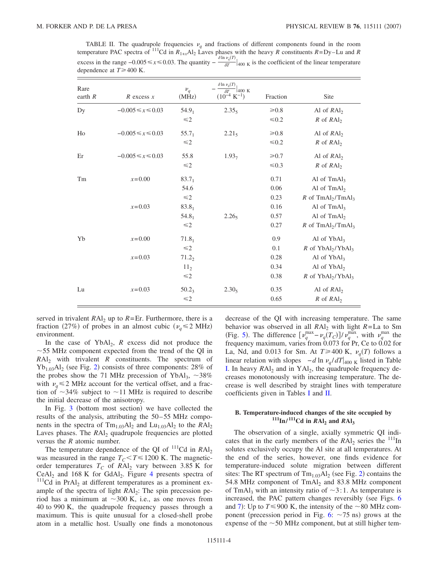<span id="page-3-0"></span>TABLE II. The quadrupole frequencies  $v_q$  and fractions of different components found in the room temperature PAC spectra of <sup>111</sup>Cd in  $R_{1+x}$ Al<sub>2</sub> Laves phases with the heavy *R* constituents  $R=Dy-Lu$  and *R* excess in the range –0.005 ≤ *x* ≤ 0.03. The quantity –  $\frac{\delta \ln v_q(T)}{\delta T}|_{400 \text{ K}}$  is the coefficient of the linear temperature dependence at  $T \geq 400$  K.

| Rare<br>earth $R$ | $R$ excess $x$          | $\nu_q$<br>(MHz)  | $\frac{\delta \ln \nu_q(T)}{\delta T}$<br>$\vert$ 400 K<br>$(10^{-4} \text{ K}^{-1})$ | Fraction   | Site                                        |
|-------------------|-------------------------|-------------------|---------------------------------------------------------------------------------------|------------|---------------------------------------------|
| Dy                | $-0.005 \le x \le 0.03$ | $54.9_1$          | 2.35 <sub>5</sub>                                                                     | $\geq 0.8$ | Al of $RAl2$                                |
|                   |                         | $\leq 2$          |                                                                                       | $\leq 0.2$ | $R$ of $RAl2$                               |
| Ho                | $-0.005 \le x \le 0.03$ | $55.7_1$          | $2.21_5$                                                                              | $\geq 0.8$ | Al of $RAl2$                                |
|                   |                         | $\leq 2$          |                                                                                       | $\leq 0.2$ | $R$ of $RAl2$                               |
| Er                | $-0.005 \le x \le 0.03$ | 55.8              | 1.93 <sub>7</sub>                                                                     | $\geq 0.7$ | Al of $RAI2$                                |
|                   |                         | $\leq 2$          |                                                                                       | $\leq 0.3$ | $R$ of $RAl2$                               |
| Tm                | $x=0.00$                | $83.7_1$          |                                                                                       | 0.71       | Al of $TmAl3$                               |
|                   |                         | 54.6              |                                                                                       | 0.06       | Al of $TmAl2$                               |
|                   |                         | $\leq 2$          |                                                                                       | 0.23       | $R$ of TmAl <sub>2</sub> /TmAl <sub>3</sub> |
|                   | $x=0.03$                | $83.8_1$          |                                                                                       | 0.16       | Al of $TmAl3$                               |
|                   |                         | $54.8_1$          | 2.26 <sub>5</sub>                                                                     | 0.57       | Al of $TmAl2$                               |
|                   |                         | $\leq 2$          |                                                                                       | 0.27       | R of $TmAl2/TmAl3$                          |
| Yb                | $x=0.00$                | $71.8_1$          |                                                                                       | 0.9        | Al of $YbAl3$                               |
|                   |                         | $\leq 2$          |                                                                                       | 0.1        | $R$ of $YbAl2/YbAl3$                        |
|                   | $x=0.03$                | $71.2_2$          |                                                                                       | 0.28       | Al of $YbAl3$                               |
|                   |                         | 11 <sub>2</sub>   |                                                                                       | 0.34       | Al of $YbAl2$                               |
|                   |                         | $\leq 2$          |                                                                                       | 0.38       | R of $YbAl2/YbAl3$                          |
| Lu                | $x=0.03$                | 50.2 <sub>3</sub> | 2.30 <sub>5</sub>                                                                     | 0.35       | Al of $RAl2$                                |
|                   |                         | $\leq 2$          |                                                                                       | 0.65       | $R$ of $RAl2$                               |

served in trivalent  $RAI_2$  up to  $R=Er$ . Furthermore, there is a fraction (27%) of probes in an almost cubic ( $v_q \le 2 \text{ MHz}$ ) environment.

In the case of  $YbAl<sub>2</sub>$ , *R* excess did not produce the  $\sim$  55 MHz component expected from the trend of the QI in  $RAI<sub>2</sub>$  with trivalent *R* constituents. The spectrum of  $Yb_{1.03}Al_2$  $Yb_{1.03}Al_2$  (see Fig. 2) consists of three components: 28% of the probes show the 71 MHz precession of YbAl<sub>3</sub>,  $\sim$ 38% with  $v_q \leq 2$  MHz account for the vertical offset, and a fraction of  $\sim$ 34% subject to  $\sim$ 11 MHz is required to describe the initial decrease of the anisotropy.

In Fig. [3](#page-4-0) (bottom most section) we have collected the results of the analysis, attributing the 50–55 MHz components in the spectra of  $\text{Tm}_{1.03}\text{Al}_2$  and  $\text{Lu}_{1.03}\text{Al}_2$  to the  $\text{RAl}_2$ Laves phases. The *RAl*<sub>2</sub> quadrupole frequencies are plotted versus the *R* atomic number.

The temperature dependence of the QI of  $^{111}$ Cd in *RAl*<sub>2</sub> was measured in the range  $T_C < T \le 1200$  K. The magneticorder temperatures  $T_C$  of  $RAI_2$  vary between 3.85 K for  $CeAl<sub>2</sub>$  and 168 K for GdAl<sub>2</sub>. Figure [4](#page-4-1) presents spectra of  $111$ Cd in PrAl<sub>2</sub> at different temperatures as a prominent example of the spectra of light *RAl*<sub>2</sub>: The spin precession period has a minimum at  $\sim$ 300 K, i.e., as one moves from 40 to 990 K, the quadrupole frequency passes through a maximum. This is quite unusual for a closed-shell probe atom in a metallic host. Usually one finds a monotonous decrease of the QI with increasing temperature. The same behavior was observed in all  $RA<sub>2</sub>$  with light  $R = La$  to Sm (Fig. [5](#page-4-2)). The difference  $\left[\nu_q^{\text{max}} - \nu_q(T_C)\right] / \nu_q^{\text{max}}$ , with  $\nu_q^{\text{max}}$  the frequency maximum, varies from 0.073 for Pr, Ce to 0.02 for La, Nd, and 0.013 for Sm. At  $T \ge 400$  K,  $v_q(T)$  follows a linear relation with slopes  $-d \ln \nu_a / dT |_{400 \text{ K}}$  listed in Table [I.](#page-2-1) In heavy  $RAl_2$  and in  $YAl_2$ , the quadrupole frequency decreases monotonously with increasing temperature. The decrease is well described by straight lines with temperature coefficients given in Tables [I](#page-2-1) and [II.](#page-3-0)

# **B. Temperature-induced changes of the site occupied by**  $111$ In/ $111$ Cd in *RAI*<sub>2</sub> and *RAI*<sub>3</sub>

The observation of a single, axially symmetric QI indicates that in the early members of the  $RAl_2$  series the  $11l$ In solutes exclusively occupy the Al site at all temperatures. At the end of the series, however, one finds evidence for temperature-induced solute migration between different sites: The RT spectrum of  $Tm_{1.03}Al_2$  $Tm_{1.03}Al_2$  (see Fig. 2) contains the 54.8 MHz component of  $TmAl<sub>2</sub>$  and 83.8 MHz component of TmAl<sub>3</sub> with an intensity ratio of  $\sim$ 3:1. As temperature is increased, the PAC pattern changes reversibly (see Figs. [6](#page-4-3) and [7](#page-5-0)): Up to  $T \le 900$  K, the intensity of the  $\sim 80$  MHz component (precession period in Fig.  $6: \sim 75$  $6: \sim 75$  ns) grows at the expense of the  $\sim$  50 MHz component, but at still higher tem-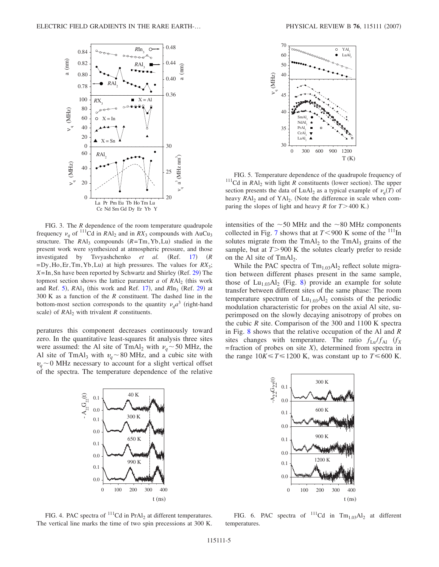<span id="page-4-0"></span>

FIG. 3. The *R* dependence of the room temperature quadrupole frequency  $v_a$  of <sup>111</sup>Cd in *RA*l<sub>2</sub> and in *RX*<sub>3</sub> compounds with AuCu<sub>3</sub> structure. The  $RAl_3$  compounds  $(R=Tm,Yb, Lu)$  studied in the present work were synthesized at atmospheric pressure, and those investigated by Tsvyashchenko *et al.*  $(Ref. 17)$   $(R$  $=$  Dy, Ho, Er, Tm, Yb, Lu) at high pressures. The values for  $RX_3$ ; X=In, Sn have been reported by Schwartz and Shirley (Ref. [29](#page-9-25)) The topmost section shows the lattice parameter  $a$  of  $RAI<sub>2</sub>$  (this work and Ref. [5](#page-9-6)),  $RAl_3$  (this work and Ref. [17](#page-9-17)), and  $RIn_3$  (Ref. [29](#page-9-25)) at 300 K as a function of the *R* constituent. The dashed line in the bottom-most section corresponds to the quantity  $v_a a^3$  (right-hand scale) of  $RAl<sub>2</sub>$  with trivalent  $R$  constituents.

peratures this component decreases continuously toward zero. In the quantitative least-squares fit analysis three sites were assumed: the Al site of TmAl<sub>2</sub> with  $v_q \sim 50$  MHz, the Al site of TmAl<sub>3</sub> with  $v_q \sim 80$  MHz, and a cubic site with  $v_a \sim 0$  MHz necessary to account for a slight vertical offset of the spectra. The temperature dependence of the relative

<span id="page-4-2"></span>

FIG. 5. Temperature dependence of the quadrupole frequency of <sup>111</sup>Cd in *RAl<sub>2</sub>* with light *R* constituents (lower section). The upper section presents the data of LuAl<sub>2</sub> as a typical example of  $\nu_q(T)$  of heavy *RAI*<sub>2</sub> and of YAI<sub>2</sub>. (Note the difference in scale when comparing the slopes of light and heavy *R* for  $T > 400$  K.)

intensities of the  $\sim$  50 MHz and the  $\sim$  80 MHz components collected in Fig. [7](#page-5-0) shows that at  $T < 900$  K some of the <sup>111</sup>In solutes migrate from the  $TmAl<sub>2</sub>$  to the  $TmAl<sub>3</sub>$  grains of the sample, but at  $T > 900$  K the solutes clearly prefer to reside on the Al site of  $TmAl<sub>2</sub>$ .

While the PAC spectra of  $Tm_{1.03}Al_2$  reflect solute migration between different phases present in the same sample, those of  $Lu_{1,03}Al_2$  (Fig. [8](#page-5-1)) provide an example for solute transfer between different sites of the same phase: The room temperature spectrum of  $Lu_{1.03}Al_2$  consists of the periodic modulation characteristic for probes on the axial Al site, superimposed on the slowly decaying anisotropy of probes on the cubic *R* site. Comparison of the 300 and 1100 K spectra in Fig. [8](#page-5-1) shows that the relative occupation of the Al and *R* sites changes with temperature. The ratio  $f_{\text{Lu}}/f_{\text{Al}}$   $(f_X)$  $=$  fraction of probes on site  $X$ ), determined from spectra in the range  $10K \le T \le 1200$  K, was constant up to  $T \le 600$  K.

<span id="page-4-1"></span>

FIG. 4. PAC spectra of  $^{111}$ Cd in PrAl<sub>2</sub> at different temperatures. The vertical line marks the time of two spin precessions at 300 K.

<span id="page-4-3"></span>

FIG. 6. PAC spectra of  $^{111}$ Cd in Tm<sub>1.03</sub>Al<sub>2</sub> at different temperatures.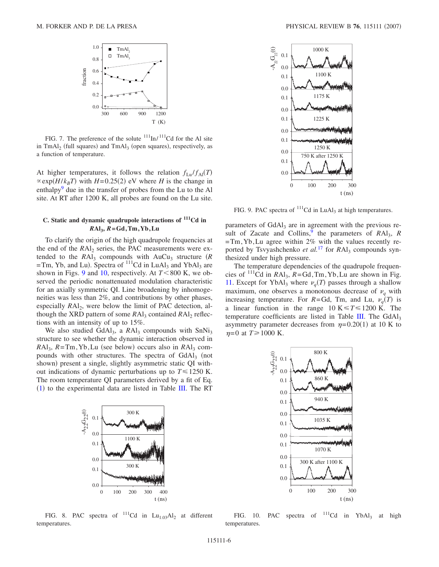<span id="page-5-0"></span>

FIG. 7. The preference of the solute  $111 \text{ln}/111$ Cd for the Al site in  $TmAl<sub>2</sub>$  (full squares) and  $TmAl<sub>3</sub>$  (open squares), respectively, as a function of temperature.

At higher temperatures, it follows the relation  $f_{\text{Lu}}/f_{\text{Al}}(T)$  $\propto$  exp(*H*/*k<sub>B</sub>T*) with *H*=0.25(2) eV where *H* is the change in enthalpy<sup>9</sup> due in the transfer of probes from the Lu to the Al site. At RT after 1200 K, all probes are found on the Lu site.

# **C. Static and dynamic quadrupole interactions of 111Cd in** *R***Al3,** *R***=Gd,Tm,Yb,Lu**

To clarify the origin of the high quadrupole frequencies at the end of the *RAI*<sub>2</sub> series, the PAC measurements were extended to the  $RA1_3$  compounds with  $AuCu_3$  structure  $(R)$  $=$ Tm, Yb, and Lu). Spectra of  $\frac{111}{\text{Cd}}$  in LuAl<sub>3</sub> and YbAl<sub>3</sub> are shown in Figs. [9](#page-5-2) and [10,](#page-5-3) respectively. At  $T < 800$  K, we observed the periodic nonattenuated modulation characteristic for an axially symmetric QI. Line broadening by inhomogeneities was less than 2%, and contributions by other phases, especially *RAl*<sub>2</sub>, were below the limit of PAC detection, although the XRD pattern of some *RAl*<sub>3</sub> contained *RAl*<sub>2</sub> reflections with an intensity of up to 15%.

We also studied  $GdAl<sub>3</sub>$ , a  $RAl<sub>3</sub>$  compounds with  $SnNi<sub>3</sub>$ structure to see whether the dynamic interaction observed in *RAl<sub>3</sub>*, *R*=Tm, Yb, Lu (see below) occurs also in *RAl*<sub>3</sub> compounds with other structures. The spectra of GdAl<sub>3</sub> (not shown) present a single, slightly asymmetric static QI without indications of dynamic perturbations up to  $T \le 1250$  K. The room temperature QI parameters derived by a fit of Eq. ([1](#page-1-0)) to the experimental data are listed in Table [III.](#page-6-0) The RT

<span id="page-5-1"></span>

FIG. 8. PAC spectra of  $^{111}$ Cd in Lu<sub>1.03</sub>Al<sub>2</sub> at different temperatures.

<span id="page-5-2"></span>

FIG. 9. PAC spectra of  $^{111}$ Cd in LuAl<sub>3</sub> at high temperatures.

parameters of GdAl<sub>3</sub> are in agreement with the previous result of Zacate and Collins,<sup>9</sup> the parameters of  $RA1_3$ ,  $R$  $=$ Tm, Yb, Lu agree within 2% with the values recently reported by Tsvyashchenko *et al.*<sup>[17](#page-9-17)</sup> for *RAl*<sub>3</sub> compounds synthesized under high pressure.

The temperature dependencies of the quadrupole frequencies of  $\frac{111}{C}$ d in *RAl*<sub>3</sub>, *R*=Gd, Tm, Yb, Lu are shown in Fig. [11.](#page-6-1) Except for YbAl<sub>3</sub> where  $\nu_q(T)$  passes through a shallow maximum, one observes a monotonous decrease of  $v_q$  with increasing temperature. For *R*=Gd, Tm, and Lu,  $v_q(T)$  is a linear function in the range  $10 \text{ K} \le T \le 1200 \text{ K}$ . The temperature coefficients are listed in Table [III.](#page-6-0) The  $GdAl<sub>3</sub>$ asymmetry parameter decreases from  $\eta = 0.20(1)$  at 10 K to  $\eta$ =0 at *T* ≥ 1000 K.

<span id="page-5-3"></span>

FIG. 10. PAC spectra of  $^{111}$ Cd in YbAl<sub>3</sub> at high temperatures.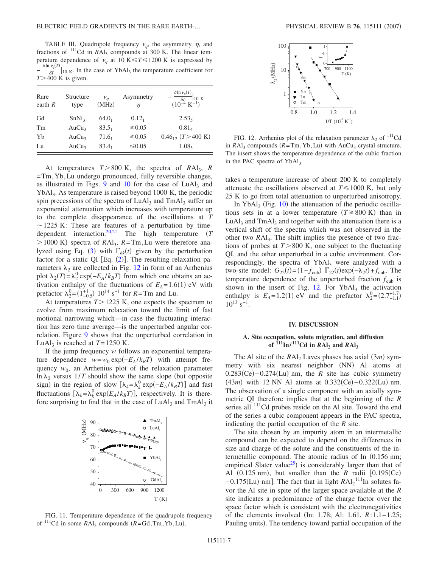<span id="page-6-0"></span>TABLE III. Quadrupole frequency  $v_a$ , the asymmetry  $\eta$ , and fractions of <sup>111</sup>Cd in *RAl*<sub>3</sub> compounds at 300 K. The linear temperature dependence of  $v_q$  at 10 K  $\leq T \leq 1200$  K is expressed by −  $\frac{\delta \ln v_q(T)}{\delta T}|_{10 \text{ K}}$ . In the case of YbAl<sub>3</sub> the temperature coefficient for  $T > 400$  K is given.

| Rare<br>earth $R$ | Structure<br>type | $\nu_a$<br>(MHz) | Asymmetry<br>η | $\delta$ ln $\nu_q(T)$<br>10K<br>$\delta T$<br>$(10^{-4} \text{ K}^{-1})$ |
|-------------------|-------------------|------------------|----------------|---------------------------------------------------------------------------|
| Gd                | SnNi <sub>3</sub> | $64.0_1$         | $0.12_1$       | $2.53_5$                                                                  |
| Tm                | AuCu <sub>3</sub> | $83.5_1$         | ≤ $0.05$       | $0.81_{4}$                                                                |
| Yb                | AuCu <sub>3</sub> | $71.6_1$         | ≤ $0.05$       | $0.46_{12}$ (T > 400 K)                                                   |
| Lu                | AuCu <sub>3</sub> | $83.4_1$         | ≤ $0.05$       | 1.08 <sub>3</sub>                                                         |

At temperatures  $T > 800$  K, the spectra of  $RAI<sub>3</sub>$ ,  $R$ =Tm,Yb,Lu undergo pronounced, fully reversible changes, as illustrated in Figs.  $9$  and [10](#page-5-3) for the case of LuAl<sub>3</sub> and YbAl<sub>3</sub>. As temperature is raised beyond 1000 K, the periodic spin precessions of the spectra of LuAl<sub>3</sub> and TmAl<sub>3</sub> suffer an exponential attenuation which increases with temperature up to the complete disappearance of the oscillations at *T*  $\sim$  1225 K: These are features of a perturbation by timedependent interaction[.20,](#page-9-20)[21](#page-9-21) The high temperature *T*  $>$  1000 K) spectra of *RAl<sub>3</sub>*, *R*=Tm,Lu were therefore ana-lyzed using Eq. ([3](#page-1-1)) with  $\Gamma_{kk}(t)$  given by the perturbation factor for a static QI  $[Eq. (2)]$  $[Eq. (2)]$  $[Eq. (2)]$ . The resulting relaxation parameters  $\lambda_2$  are collected in Fig. [12](#page-6-2) in form of an Arrhenius plot  $\lambda_2(T) = \lambda_2^0 \exp(-E_A/k_B T)$  from which one obtains an activation enthalpy of the fluctuations of  $E_A = 1.6(1)$  eV with prefactor  $\lambda_2^0 = (1_{-0.5}^{+1}) 10^{14} \text{ s}^{-1}$  for  $R = \text{Tm}$  and Lu.

At temperatures  $T > 1225$  K, one expects the spectrum to evolve from maximum relaxation toward the limit of fast motional narrowing which—in case the fluctuating interaction has zero time average—is the unperturbed angular correlation. Figure [9](#page-5-2) shows that the unperturbed correlation in LuAl<sub>3</sub> is reached at  $T=1250$  K.

If the jump frequency *w* follows an exponential temperature dependence  $w = w_0 \exp(-E_A/k_B T)$  with attempt frequency  $w_0$ , an Arrhenius plot of the relaxation parameter  $\ln \lambda_2$  versus  $1/T$  should show the same slope (but opposite sign) in the region of slow  $[\lambda_k = \lambda_k^0 \exp(-E_A/k_B T)]$  and fast fluctuations  $[\lambda_k = \lambda_k^0 \exp(E_A / k_B T)]$ , respectively. It is therefore surprising to find that in the case of  $LuAl<sub>3</sub>$  and  $TmAl<sub>3</sub>$  it

<span id="page-6-1"></span>

FIG. 11. Temperature dependence of the quadrupole frequency of  $^{111}$ Cd in some  $RAl_3$  compounds  $(R = Gd, Tm, Yb, Lu)$ .

<span id="page-6-2"></span>

FIG. 12. Arrhenius plot of the relaxation parameter  $\lambda_2$  of <sup>111</sup>Cd in  $RAI_3$  compounds  $(R=Tm, Yb, Lu)$  with  $AuCu_3$  crystal structure. The insert shows the temperature dependence of the cubic fraction in the PAC spectra of YbAl<sub>3</sub>.

takes a temperature increase of about 200 K to completely attenuate the oscillations observed at  $T \le 1000$  K, but only 25 K to go from total attenuation to unperturbed anisotropy.

In YbAl<sub>3</sub> (Fig. [10](#page-5-3)) the attenuation of the periodic oscillations sets in at a lower temperature  $(T \ge 800 \text{ K})$  than in LuAl<sub>3</sub> and TmAl<sub>3</sub> and together with the attenuation there is a vertical shift of the spectra which was not observed in the other two *RA*l<sub>3</sub>. The shift implies the presence of two fractions of probes at  $T > 800$  K, one subject to the fluctuating QI, and the other unperturbed in a cubic environment. Correspondingly, the spectra of YbAl<sub>3</sub> were analyzed with a two-site model:  $G_{22}(t) = (1 - f_{\text{cub}}) \Gamma_{22}(t) \exp(-\lambda_2 t) + f_{\text{cub}}$ . The temperature dependence of the unperturbed fraction  $f_{\text{cub}}$  is shown in the insert of Fig.  $12$ . For YbAl<sub>3</sub> the activation enthalpy is  $E_A = 1.2(1)$  eV and the prefactor  $\lambda_2^0 = (2.7^{+1.7}_{-1.1})$  $10^{13}$  s<sup>-1</sup>.

#### **IV. DISCUSSION**

### **A. Site occupation, solute migration, and diffusion** of  $\frac{111}{\ln}$ / $\frac{111}{\ln}$ Cd in *RAI*<sub>2</sub> and *RAI*<sub>3</sub>

The Al site of the  $RAl_2$  Laves phases has axial  $(3m)$  symmetry with six nearest neighbor (NN) Al atoms at  $0.283$ (Ce)  $-0.274$ (Lu) nm, the *R* site has cubic symmetry  $(43*m*)$  with 12 NN Al atoms at  $0.332$ (Ce)  $-0.322$ (Lu) nm. The observation of a single component with an axially symmetric QI therefore implies that at the beginning of the *R* series all <sup>111</sup>Cd probes reside on the Al site. Toward the end of the series a cubic component appears in the PAC spectra, indicating the partial occupation of the *R* site.

The site chosen by an impurity atom in an intermetallic compound can be expected to depend on the differences in size and charge of the solute and the constituents of the intermetallic compound. The atomic radius of In (0.156 nm; empirical Slater value<sup>25</sup>) is considerably larger than that of Al  $(0.125 \text{ nm})$ , but smaller than the *R* radii  $[0.195(\text{Ce})$ −0.175(Lu) nm]. The fact that in light  $RAI<sub>2</sub><sup>111</sup>$ In solutes favor the Al site in spite of the larger space available at the *R* site indicates a predominance of the charge factor over the space factor which is consistent with the electronegativities of the elements involved (In: 1.78; Al: 1.61, *R*:1.1–1.25; Pauling units). The tendency toward partial occupation of the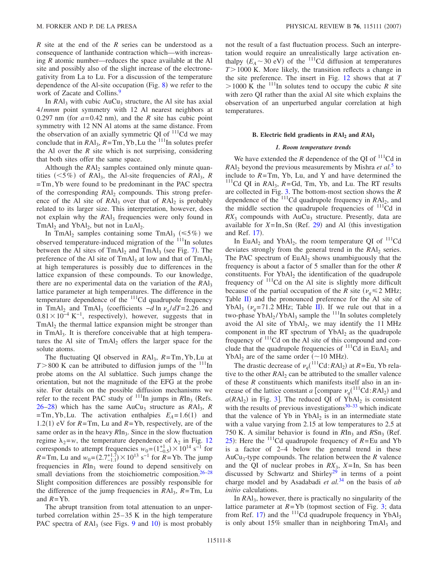*R* site at the end of the *R* series can be understood as a consequence of lanthanide contraction which—with increasing *R* atomic number—reduces the space available at the Al site and possibly also of the slight increase of the electronegativity from La to Lu. For a discussion of the temperature dependence of the Al-site occupation (Fig.  $8$ ) we refer to the work of Zacate and Collins.<sup>9</sup>

In  $RA1<sub>3</sub>$  with cubic  $AuCu<sub>3</sub>$  structure, the Al site has axial 4/*mmm* point symmetry with 12 Al nearest neighbors at 0.297 nm (for  $a=0.42$  nm), and the *R* site has cubic point symmetry with 12 NN Al atoms at the same distance. From the observation of an axially symmetric QI of  $<sup>111</sup>$ Cd we may</sup> conclude that in  $RA1_3$ ,  $R = Tm$ , Yb, Lu the <sup>111</sup>In solutes prefer the Al over the *R* site which is not surprising, considering that both sites offer the same space.

Although the  $RA1<sub>2</sub>$  samples contained only minute quantities  $(<5\%)$  of *RAl*<sub>3</sub>, the Al-site frequencies of *RAl*<sub>3</sub>, *R* =Tm,Yb were found to be predominant in the PAC spectra of the corresponding  $RAl<sub>2</sub>$  compounds. This strong preference of the Al site of  $RAI_3$  over that of  $RAI_2$  is probably related to its larger size. This interpretation, however, does not explain why the *RA*l<sub>3</sub> frequencies were only found in  $TmAl<sub>2</sub>$  and YbAl<sub>2</sub>, but not in LuAl<sub>2</sub>.

In TmAl<sub>2</sub> samples containing some TmAl<sub>3</sub> ( $\leq 5\%$ ) we observed temperature-induced migration of the  $111$ In solutes between the Al sites of  $TmAl<sub>2</sub>$  and  $TmAl<sub>3</sub>$  (see Fig. [7](#page-5-0)). The preference of the Al site of  $TmAl<sub>3</sub>$  at low and that of  $TmAl<sub>2</sub>$ at high temperatures is possibly due to differences in the lattice expansion of these compounds. To our knowledge, there are no experimental data on the variation of the *RAl*<sub>3</sub> lattice parameter at high temperatures. The difference in the temperature dependence of the  $111$ Cd quadrupole frequency in TmAl<sub>2</sub> and TmAl<sub>3</sub> (coefficients  $-d \ln \nu_a / dT = 2.26$  and  $0.81 \times 10^{-4}$  K<sup>-1</sup>, respectively), however, suggests that in TmAl<sub>2</sub> the thermal lattice expansion might be stronger than in TmAl<sub>3</sub>. It is therefore conceivable that at high temperatures the Al site of  $TmAl<sub>2</sub>$  offers the larger space for the solute atoms.

The fluctuating QI observed in *R*Al3, *R*=Tm,Yb,Lu at  $T > 800$  K can be attributed to diffusion jumps of the  $^{111}$ In probe atoms on the Al sublattice. Such jumps change the orientation, but not the magnitude of the EFG at the probe site. For details on the possible diffusion mechanisms we refer to the recent PAC study of  $^{111}$ In jumps in *RIn<sub>3</sub>* (Refs. [26](#page-9-27)[–28](#page-9-28)) which has the same AuCu<sub>3</sub> structure as *RAl<sub>3</sub>*, *R*  $= Tm$ , Yb, Lu. The activation enthalpies  $E_A = 1.6(1)$  and 1.2(1) eV for  $R = Tm$ , Lu and  $R = Yb$ , respectively, are of the same order as in the heavy  $RIn_3$ . Since in the slow fluctuation regime  $\lambda_2 = w$ , the temperature dependence of  $\lambda_2$  in Fig. [12](#page-6-2) corresponds to attempt frequencies  $w_0 = (1_{-0.5}^{+1}) \times 10^{14} \text{ s}^{-1}$  for *R*=Tm, Lu and  $w_0 = (2.7^{+1.7}_{-1.1}) \times 10^{13} \text{ s}^{-1}$  for *R*=Yb. The jump frequencies in *RIn<sub>3</sub>* were found to depend sensitively on small deviations from the stoichiometric composition.<sup>26–[28](#page-9-28)</sup> Slight composition differences are possibly responsible for the difference of the jump frequencies in  $RA1_3$ ,  $R=Tm$ , Lu and  $R = Yb$ .

The abrupt transition from total attenuation to an unperturbed correlation within  $25-35$  K in the high temperature PAC spectra of RAl<sub>3</sub> (see Figs. [9](#page-5-2) and [10](#page-5-3)) is most probably

not the result of a fast fluctuation process. Such an interpretation would require an unrealistically large activation enthalpy  $(E_A \sim 30 \text{ eV})$  of the <sup>111</sup>Cd diffusion at temperatures  $T > 1000$  K. More likely, the transition reflects a change in the site preference. The insert in Fig. [12](#page-6-2) shows that at *T*  $> 1000 \text{ K}$  the <sup>111</sup>In solutes tend to occupy the cubic *R* site with zero QI rather than the axial Al site which explains the observation of an unperturbed angular correlation at high temperatures.

#### **B. Electric field gradients in** *R***Al2 and** *R***Al3**

### *1. Room temperature trends*

We have extended the  $R$  dependence of the OI of  $^{111}$ Cd in *RAl*<sub>2</sub> beyond the previous measurements by Mishra *et al.*<sup>[5](#page-9-6)</sup> to include to  $R = Tm$ , Yb, Lu, and Y and have determined the  $111$ <sup>Cd</sup> QI in *RAl<sub>3</sub>*, *R*=Gd, Tm, Yb, and Lu. The RT results are collected in Fig. [3.](#page-4-0) The bottom-most section shows the *R* dependence of the <sup>111</sup>Cd quadrupole frequency in *RAl*<sub>2</sub>, and the middle section the quadrupole frequencies of  $<sup>111</sup>Cd$  in</sup>  $RX_3$  compounds with  $AuCu_3$  structure. Presently, data are available for  $X = \text{In}, \text{Sn}$  (Ref. [29](#page-9-25)) and Al (this investigation and Ref. [17](#page-9-17)).

In EuAl<sub>2</sub> and YbAl<sub>2</sub>, the room temperature QI of  $^{111}$ Cd deviates strongly from the general trend in the *RAl*<sub>2</sub> series. The PAC spectrum of  $EuAl<sub>2</sub>$  shows unambiguously that the frequency is about a factor of 5 smaller than for the other *R* constituents. For  $YbAl<sub>2</sub>$  the identification of the quadrupole frequency of  $111$ Cd on the Al site is slightly more difficult because of the partial occupation of the *R* site ( $v_q \le 2$  MHz; Table [II](#page-3-0)) and the pronounced preference for the Al site of YbAl<sub>3</sub> ( $v_q$ =71.2 MHz; Table [II](#page-3-0)). If we rule out that in a two-phase  $YbAl<sub>2</sub>/YbAl<sub>3</sub>$  sample the  $^{111}$ In solutes completely avoid the Al site of  $YbAl<sub>2</sub>$ , we may identify the 11 MHz component in the RT spectrum of  $YbAl<sub>2</sub>$  as the quadrupole frequency of <sup>111</sup>Cd on the Al site of this compound and conclude that the quadrupole frequencies of  $^{111}$ Cd in EuAl<sub>2</sub> and YbAl<sub>2</sub> are of the same order ( $\sim$ 10 MHz).

The drastic decrease of  $v_q$ <sup>(111</sup>Cd:*R*Al<sub>2</sub>) at *R*=Eu, Yb relative to the other  $RAl<sub>2</sub>$  can be attributed to the smaller valence of these *R* constituents which manifests itself also in an increase of the lattice constant *a* [compare  $v_q$ <sup>(111</sup>Cd:*RAl*<sub>2</sub>) and  $a(RAI<sub>2</sub>)$  in Fig. [3](#page-4-0). The reduced QI of YbAl<sub>2</sub> is consistent with the results of previous investigations $30-33$  which indicate that the valence of Yb in  $YbAl<sub>2</sub>$  is in an intermediate state with a value varying from 2.15 at low temperatures to 2.5 at 750 K. A similar behavior is found in  $RIn_3$  and  $RSn_3$  (Ref. [25](#page-9-26)): Here the  $^{111}$ Cd quadrupole frequency of  $R =$ Eu and Yb is a factor of 2–4 below the general trend in these AuCu<sub>3</sub>-type compounds. The relation between the  $R$  valence and the QI of nuclear probes in  $RX_3$ ,  $X=In$ , Sn has been discussed by Schwartz and Shirley<sup>29</sup> in terms of a point charge model and by Asadabadi *et al.*[34](#page-10-0) on the basis of *ab initio* calculations.

In  $RA1<sub>3</sub>$ , however, there is practically no singularity of the lattice parameter at  $R = Yb$  (topmost section of Fig. [3;](#page-4-0) data from Ref. [17](#page-9-17)) and the  $\frac{111}{Cd}$  quadrupole frequency in YbAl<sub>3</sub> is only about  $15\%$  smaller than in neighboring  $TmAl<sub>3</sub>$  and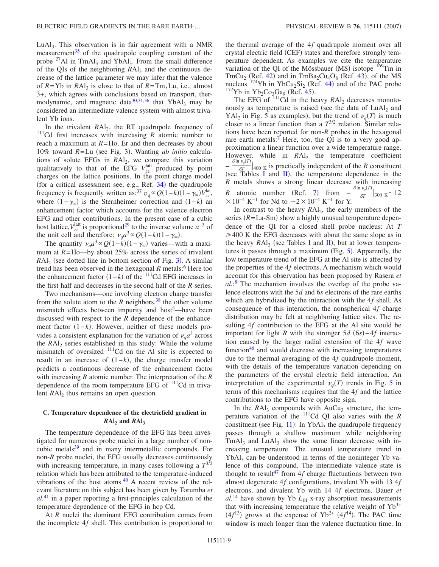LuAl<sub>3</sub>. This observation is in fair agreement with a NMR measurement $35$  of the quadrupole coupling constant of the probe <sup>27</sup>Al in TmAl<sub>3</sub> and YbAl<sub>3</sub>. From the small difference of the QIs of the neighboring  $RAI_3$  and the continuous decrease of the lattice parameter we may infer that the valence of  $R = Yb$  in  $RAI_3$  is close to that of  $R = Tm$ , Lu, i.e., almost 3+, which agrees with conclusions based on transport, ther-modynamic, and magnetic data<sup>30,[31,](#page-9-31)[36](#page-10-2)</sup> that  $YbAl<sub>3</sub>$  may be considered an intermediate valence system with almost trivalent Yb ions.

In the trivalent *RAl*<sub>2</sub>, the RT quadrupole frequency of  $111$ Cd first increases with increasing *R* atomic number to reach a maximum at  $R = Ho$ , Er and then decreases by about 10% toward *R*=Lu (see Fig. [3](#page-4-0)). Wanting *ab initio* calculations of solute EFGs in *RA*l<sub>2</sub>, we compare this variation qualitatively to that of the EFG  $V_{zz}^{\text{latt}}$  produced by point charges on the lattice positions. In the point charge model (for a critical assessment see, e.g., Ref.  $34$ ) the quadrupole frequency is frequently written as:<sup>37</sup>  $v_q \propto Q(1-k)(1-\gamma_{\infty})V_{zz}^{\text{lat}}$ , where  $(1-\gamma_{\infty})$  is the Sternheimer correction and  $(1-k)$  and enhancement factor which accounts for the valence electron EFG and other contributions. In the present case of a cubic host lattice,  $V_{zz}^{\text{latt}}$  is proportional<sup>29</sup> to the inverse volume  $a^{-3}$  of the unit cell and therefore:  $v_q a^3 \propto Q(1-k)(1-\gamma_\infty)$ .

The quantity  $\nu_q a^3 \propto Q(1-k)(1-\gamma_\infty)$  varies—with a maximum at  $R = Ho$ —by about 25% across the series of trivalent  $RAI<sub>2</sub>$  (see dotted line in bottom section of Fig. [3](#page-4-0)). A similar trend has been observed in the hexagonal *R* metals:<sup>6</sup> Here too the enhancement factor  $(1-k)$  of the <sup>111</sup>Cd EFG increases in the first half and decreases in the second half of the *R* series.

Two mechanisms—one involving electron charge transfer from the solute atom to the  $R$  neighbors,<sup>38</sup> the other volume mismatch effects between impurity and host<sup>5</sup>—have been discussed with respect to the *R* dependence of the enhancement factor (1–*k*). However, neither of these models provides a consistent explanation for the variation of  $\nu_a a^3$  across the *RAl*<sub>2</sub> series established in this study: While the volume mismatch of oversized  $\frac{111}{11}$ Cd on the Al site is expected to result in an increase of  $(1-k)$ , the charge transfer model predicts a continuous decrease of the enhancement factor with increasing *R* atomic number. The interpretation of the *R* dependence of the room temperature EFG of  $^{111}$ Cd in trivalent *RAl*<sub>2</sub> thus remains an open question.

### **C. Temperature dependence of the electricfield gradient in**  $RAI_2$  and  $RAI_3$

The temperature dependence of the EFG has been investigated for numerous probe nuclei in a large number of noncubic metals<sup>39</sup> and in many intermetallic compounds. For non-*R* probe nuclei, the EFG usually decreases continuously with increasing temperature, in many cases following a *T*3/2 relation which has been attributed to the temperature-induced vibrations of the host atoms. $40$  A recent review of the relevant literature on this subject has been given by Torumba *et al.*[41](#page-10-7) in a paper reporting a first-principles calculation of the temperature dependence of the EFG in hcp Cd.

At *R* nuclei the dominant EFG contribution comes from the incomplete 4*f* shell. This contribution is proportional to the thermal average of the 4*f* quadrupole moment over all crystal electric field (CEF) states and therefore strongly temperature dependent. As examples we cite the temperature variation of the QI of the Mössbauer (MS) isotope  $169$ Tm in  $\text{TrmCu}_2$  (Ref. [42](#page-10-8)) and in  $\text{TrmBa}_2\text{Cu}_4\text{O}_8$  (Ref. [43](#page-10-9)), of the MS nucleus <sup>174</sup>Yb in YbCu<sub>2</sub>Si<sub>2</sub> (Ref. [44](#page-10-10)) and of the PAC probe <sup>172</sup>Yb in Yb<sub>2</sub>Co<sub>3</sub>Ga<sub>9</sub> (Ref. [45](#page-10-11)). <sup>172</sup>Yb in Yb<sub>2</sub>Co<sub>3</sub>Ga<sub>9</sub> (Ref. 45).

The EFG of  $111$ Cd in the heavy *RAl*<sub>2</sub> decreases monotonously as temperature is raised (see the data of  $LuAl<sub>2</sub>$  and YAl<sub>2</sub> in Fig. [5](#page-4-2) as examples), but the trend of  $\nu_q(T)$  is much closer to a linear function than a *T*3/2 relation. Similar relations have been reported for non-*R* probes in the hexagonal rare earth metals: $<sup>7</sup>$  Here, too, the QI is to a very good ap-</sup> proximation a linear function over a wide temperature range. However, while in  $RA<sub>1</sub>$  the temperature coefficient −  $\frac{\delta \ln v_q(T)}{\delta T}\Big|_{400 \text{ K}}$  is practically independent of the *R* constituent (see Tables [I](#page-2-1) and [II](#page-3-0)), the temperature dependence in the *R* metals shows a strong linear decrease with increasing *R* atomic number (Ref. [7](#page-9-8)) from  $\frac{\delta \ln \nu_q(T)}{\delta T}|_{300 \text{ K}} \sim 12$  $\times 10^{-4}$  K<sup>-1</sup> for Nd to  $\sim$ 2 $\times 10^{-4}$  K<sup>-1</sup> for Y.

In contrast to the heavy *RAl*<sub>2</sub>, the early members of the series  $(R = La-Sm)$  show a highly unusual temperature dependence of the QI for a closed shell probe nucleus: At *T*  $\geq 400$  K the EFG decreases with about the same slope as in the heavy  $RAI_2$  $RAI_2$  $RAI_2$  (see Tables I and [II](#page-3-0)), but at lower tempera-tures it passes through a maximum (Fig. [5](#page-4-2)). Apparently, the low temperature trend of the EFG at the Al site is affected by the properties of the 4*f* electrons. A mechanism which would account for this observation has been proposed by Rasera *et al.*: [8](#page-9-9) The mechanism involves the overlap of the probe valence electrons with the 5*d* and 6*s* electrons of the rare earths which are hybridized by the interaction with the 4*f* shell. As consequence of this interaction, the nonspherical 4*f* charge distribution may be felt at neighboring lattice sites. The resulting 4*f* contribution to the EFG at the Al site would be important for light *R* with the stronger  $5d(6s) - 4f$  interaction caused by the larger radial extension of the 4*f* wave function $46$  and would decrease with increasing temperatures due to the thermal averaging of the 4*f* quadrupole moment, with the details of the temperature variation depending on the parameters of the crystal electric field interaction. An interpretation of the experimental  $v_q(T)$  trends in Fig. [5](#page-4-2) in terms of this mechanisms requires that the 4*f* and the lattice contributions to the EFG have opposite sign.

In the  $RAl<sub>3</sub>$  compounds with  $AuCu<sub>3</sub>$  structure, the temperature variation of the 111Cd QI also varies with the *R* constituent (see Fig. [11](#page-6-1)): In  $YbAl<sub>3</sub>$  the quadrupole frequency passes through a shallow maximum while neighboring  $TmAl<sub>3</sub>$  and  $LuAl<sub>3</sub>$  show the same linear decrease with increasing temperature. The unusual temperature trend in  $YbAl<sub>3</sub>$  can be understood in terms of the noninteger Yb valence of this compound. The intermediate valence state is thought to result<sup>47</sup> from 4*f* charge fluctuations between two almost degenerate 4*f* configurations, trivalent Yb with 13 4*f* electrons, and divalent Yb with 14 4*f* electrons. Bauer *et*  $al.^{14}$  $al.^{14}$  $al.^{14}$  have shown by Yb  $L_{III}$  x-ray absorption measurements that with increasing temperature the relative weight of  $Yb^{3+}$  $(4f<sup>13</sup>)$  grows at the expense of Yb<sup>2+</sup>  $(4f<sup>14</sup>)$ . The PAC time window is much longer than the valence fluctuation time. In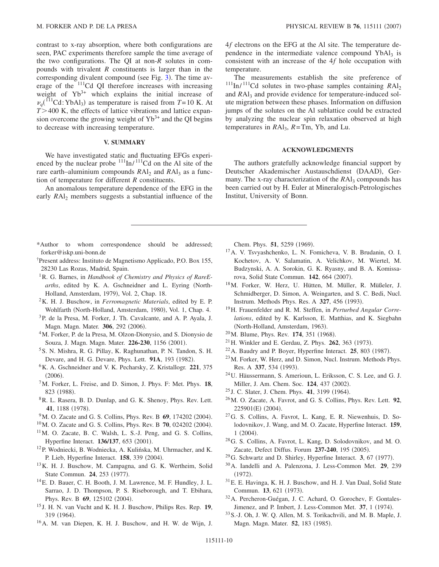contrast to x-ray absorption, where both configurations are seen, PAC experiments therefore sample the time average of the two configurations. The QI at non-*R* solutes in compounds with trivalent *R* constituents is larger than in the corresponding divalent compound (see Fig.  $3$ ). The time average of the  $111$ <sup>cd</sup> QI therefore increases with increasing weight of  $Yb^{3+}$  which explains the initial increase of  $\nu_q$ <sup>(111</sup>Cd:YbAl<sub>3</sub>) as temperature is raised from *T*=10 K. At  $T > 400$  K, the effects of lattice vibrations and lattice expansion overcome the growing weight of  $Yb^{3+}$  and the QI begins to decrease with increasing temperature.

## **V. SUMMARY**

We have investigated static and fluctuating EFGs experienced by the nuclear probe  $^{111}$ In/ $^{111}$ Cd on the Al site of the rare earth–aluminium compounds *RA*l<sub>2</sub> and *RA*l<sub>3</sub> as a function of temperature for different *R* constituents.

An anomalous temperature dependence of the EFG in the early *RAI*<sub>2</sub> members suggests a substantial influence of the 4*f* electrons on the EFG at the Al site. The temperature dependence in the intermediate valence compound  $YbAl<sub>3</sub>$  is consistent with an increase of the 4*f* hole occupation with temperature.

The measurements establish the site preference of <sup>111</sup>In/<sup>111</sup>Cd solutes in two-phase samples containing  $RAl<sub>2</sub>$ and *RAl*<sub>3</sub> and provide evidence for temperature-induced solute migration between these phases. Information on diffusion jumps of the solutes on the Al sublattice could be extracted by analyzing the nuclear spin relaxation observed at high temperatures in *R*Al3, *R*=Tm, Yb, and Lu.

## **ACKNOWLEDGMENTS**

The authors gratefully acknowledge financial support by Deutscher Akademischer Austauschdienst (DAAD), Germany. The x-ray characterization of the *RA*l<sub>3</sub> compounds has been carried out by H. Euler at Mineralogisch-Petrologisches Institut, University of Bonn.

- <span id="page-9-0"></span>\*Author to whom correspondence should be addressed; forker@iskp.uni-bonn.de
- <span id="page-9-1"></span>†Present address: Instituto de Magnetismo Applicado, P.O. Box 155, 28230 Las Rozas, Madrid, Spain.
- <span id="page-9-2"></span>1R. G. Barnes, in *Handbook of Chemistry and Physics of RareEarths*, edited by K. A. Gschneidner and L. Eyring (North-Holland, Amsterdam, 1979), Vol. 2, Chap. 18.
- <span id="page-9-3"></span>2K. H. J. Buschow, in *Ferromagnetic Materials*, edited by E. P. Wohlfarth (North-Holland, Amsterdam, 1980), Vol. 1, Chap. 4.
- <span id="page-9-4"></span>3P. de la Presa, M. Forker, J. Th. Cavalcante, and A. P. Ayala, J. Magn. Magn. Mater. 306, 292 (2006).
- <span id="page-9-5"></span>4M. Forker, P. de la Presa, M. Olzon-Dionysio, and S. Dionysio de Souza, J. Magn. Magn. Mater. 226-230, 1156 (2001).
- <span id="page-9-6"></span>5S. N. Mishra, R. G. Pillay, K. Raghunathan, P. N. Tandon, S. H. Devare, and H. G. Devare, Phys. Lett. 91A, 193 (1982).
- <span id="page-9-7"></span>6K. A. Gschneidner and V. K. Pecharsky, Z. Kristallogr. **221**, 375  $(2006).$
- <span id="page-9-8"></span>7M. Forker, L. Freise, and D. Simon, J. Phys. F: Met. Phys. **18**, 823 (1988).
- <span id="page-9-9"></span>8R. L. Rasera, B. D. Dunlap, and G. K. Shenoy, Phys. Rev. Lett. 41, 1188 (1978).
- <span id="page-9-10"></span><sup>9</sup>M. O. Zacate and G. S. Collins, Phys. Rev. B 69, 174202 (2004).
- $^{10}$ M. O. Zacate and G. S. Collins, Phys. Rev. B  $70$ , 024202 (2004).
- <span id="page-9-11"></span>11M. O. Zacate, B. C. Walsh, L. S.-J. Peng, and G. S. Collins, Hyperfine Interact. 136/137, 653 (2001).
- <span id="page-9-12"></span>12P. Wodniecki, B. Wodniecka, A. Kulińska, M. Uhrmacher, and K. P. Lieb, Hyperfine Interact. **158**, 339 (2004).
- <span id="page-9-13"></span>13K. H. J. Buschow, M. Campagna, and G. K. Wertheim, Solid State Commun. **24**, 253 (1977).
- <span id="page-9-14"></span>14E. D. Bauer, C. H. Booth, J. M. Lawrence, M. F. Hundley, J. L. Sarrao, J. D. Thompson, P. S. Riseborough, and T. Ebihara, Phys. Rev. B 69, 125102 (2004).
- <span id="page-9-15"></span><sup>15</sup> J. H. N. van Vucht and K. H. J. Buschow, Philips Res. Rep. **19**, 319 (1964).
- <span id="page-9-16"></span>16A. M. van Diepen, K. H. J. Buschow, and H. W. de Wijn, J.

Chem. Phys. 51, 5259 (1969).

- <span id="page-9-17"></span>17A. V. Tsvyashchenko, L. N. Fomicheva, V. B. Brudanin, O. I. Kochetov, A. V. Salamatin, A. Velichkov, M. Wiertel, M. Budzynski, A. A. Sorokin, G. K. Ryasny, and B. A. Komissarova, Solid State Commun. 142, 664 (2007).
- <span id="page-9-18"></span>18M. Forker, W. Herz, U. Hütten, M. Müller, R. Müßeler, J. Schmidberger, D. Simon, A. Weingarten, and S. C. Bedi, Nucl. Instrum. Methods Phys. Res. A 327, 456 (1993).
- <span id="page-9-19"></span>19H. Frauenfelder and R. M. Steffen, in *Perturbed Angular Correlations*, edited by K. Karlsson, E. Matthias, and K. Siegbahn (North-Holland, Amsterdam, 1963).
- <span id="page-9-20"></span><sup>20</sup>M. Blume, Phys. Rev. **174**, 351 (1968).
- <span id="page-9-21"></span><sup>21</sup> H. Winkler and E. Gerdau, Z. Phys. **262**, 363 (1973).
- <span id="page-9-22"></span> $22$ A. Baudry and P. Boyer, Hyperfine Interact.  $25$ , 803 (1987).
- <span id="page-9-23"></span>23M. Forker, W. Herz, and D. Simon, Nucl. Instrum. Methods Phys. Res. A 337, 534 (1993).
- <span id="page-9-24"></span>24U. Häussermann, S. Amerioun, L. Eriksson, C. S. Lee, and G. J. Miller, J. Am. Chem. Soc. 124, 437 (2002).
- <span id="page-9-26"></span><sup>25</sup> J. C. Slater, J. Chem. Phys. **41**, 3199 (1964).
- <span id="page-9-27"></span>26M. O. Zacate, A. Favrot, and G. S. Collins, Phys. Rev. Lett. **92**, 225901(E) (2004).
- 27G. S. Collins, A. Favrot, L. Kang, E. R. Niewenhuis, D. Solodovnikov, J. Wang, and M. O. Zacate, Hyperfine Interact. **159**,  $1(2004).$
- <span id="page-9-28"></span>28G. S. Collins, A. Favrot, L. Kang, D. Solodovnikov, and M. O. Zacate, Defect Diffus. Forum 237-240, 195 (2005).
- <span id="page-9-25"></span> $29G$ . Schwartz and D. Shirley, Hyperfine Interact. **3**, 67 (1977).
- <span id="page-9-29"></span>30A. Iandelli and A. Palenzona, J. Less-Common Met. **29**, 239  $(1972).$
- <span id="page-9-31"></span>31E. E. Havinga, K. H. J. Buschow, and H. J. Van Daal, Solid State Commun. 13, 621 (1973).
- 32A. Percheron-Guégan, J. C. Achard, O. Gorochev, F. Gontales-Jimenez, and P. Imbert, J. Less-Common Met. 37, 1 (1974).
- <span id="page-9-30"></span>33S.-J. Oh, J. W. Q. Allen, M. S. Torikachvili, and M. B. Maple, J. Magn. Magn. Mater. 52, 183 (1985).